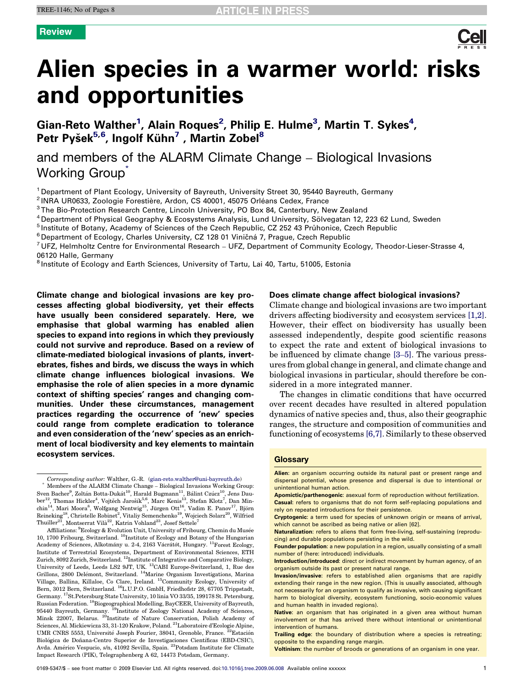## <span id="page-0-0"></span>**Review**



# Alien species in a warmer world: risks and opportunities

Gian-Reto Walther<sup>1</sup>, Alain Roques<sup>2</sup>, Philip E. Hulme<sup>3</sup>, Martin T. Sykes<sup>4</sup>, Petr Pyšek<sup>5,6</sup>, Ingolf Kühn<sup>7</sup> , Martin Zobel<sup>8</sup>

and members of the ALARM Climate Change – Biological Invasions Working Group<sup>\*</sup>

<sup>1</sup> Department of Plant Ecology, University of Bayreuth, University Street 30, 95440 Bayreuth, Germany<br><sup>2</sup> INRA UR0633, Zoologie Forestière, Ardon, CS 40001, 45075 Orléans Cedex, France

 $3$ The Bio-Protection Research Centre, Lincoln University, PO Box 84, Canterbury, New Zealand

<sup>4</sup> Department of Physical Geography & Ecosystems Analysis, Lund University, Sölvegatan 12, 223 62 Lund, Sweden<br><sup>5</sup> Institute of Botany, Academy of Sciences of the Czech Republic, CZ 252 43 Průhonice, Czech Republic<br><sup>6</sup> D 06120 Halle, Germany

<sup>8</sup> Institute of Ecology and Earth Sciences, University of Tartu, Lai 40, Tartu, 51005, Estonia

Climate change and biological invasions are key processes affecting global biodiversity, yet their effects have usually been considered separately. Here, we emphasise that global warming has enabled alien species to expand into regions in which they previously could not survive and reproduce. Based on a review of climate-mediated biological invasions of plants, invertebrates, fishes and birds, we discuss the ways in which climate change influences biological invasions. We emphasise the role of alien species in a more dynamic context of shifting species' ranges and changing communities. Under these circumstances, management practices regarding the occurrence of 'new' species could range from complete eradication to tolerance and even consideration of the 'new' species as an enrichment of local biodiversity and key elements to maintain ecosystem services.

### Does climate change affect biological invasions?

Climate change and biological invasions are two important drivers affecting biodiversity and ecosystem services [\[1,2\]](#page-5-0). However, their effect on biodiversity has usually been assessed independently, despite good scientific reasons to expect the rate and extent of biological invasions to be influenced by climate change [3–[5\].](#page-5-0) The various pressures from global change in general, and climate change and biological invasions in particular, should therefore be considered in a more integrated manner.

The changes in climatic conditions that have occurred over recent decades have resulted in altered population dynamics of native species and, thus, also their geographic ranges, the structure and composition of communities and functioning of ecosystems [\[6,7\].](#page-5-0) Similarly to these observed

### **Glossary**

Alien: an organism occurring outside its natural past or present range and dispersal potential, whose presence and dispersal is due to intentional or unintentional human action.

Apomictic/parthenogenic: asexual form of reproduction without fertilization.

Cryptogenic: a term used for species of unknown origin or means of arrival, which cannot be ascribed as being native or alien [62].

Naturalization: refers to aliens that form free-living, self-sustaining (reproducing) and durable populations persisting in the wild.

Founder population: a new population in a region, usually consisting of a small number of (here: introduced) individuals.

Introduction/introduced: direct or indirect movement by human agency, of an organism outside its past or present natural range.

Invasion/invasive: refers to established alien organisms that are rapidly extending their range in the new region. (This is usually associated, although not necessarily for an organism to qualify as invasive, with causing significant harm to biological diversity, ecosystem functioning, socio-economic values and human health in invaded regions).

Trailing edge: the boundary of distribution where a species is retreating; opposite to the expanding range margin.

Voltinism: the number of broods or generations of an organism in one year.

Corresponding author: Walther, G.-R. ([gian-reto.walther@uni-bayreuth.de](mailto:gian-reto.walther@uni-bayreuth.de)) Members of the ALARM Climate Change – Biological Invasions Working Group: Sven Bacher<sup>9</sup>, Zoltán Botta-Dukát<sup>10</sup>, Harald Bugmann<sup>11</sup>, Bálint Czúcz<sup>10</sup>, Jens Dauber<sup>12</sup>, Thomas Hickler<sup>4</sup>, Vojtěch Jarošík<sup>5,6</sup>, Marc Kenis<sup>13</sup>, Stefan Klotz<sup>7</sup>, Dan Min-<br>chin<sup>14</sup>, Mari Moora<sup>8</sup>, Wolfgang Nentwig<sup>15</sup>, Jürgen Ott<sup>16</sup>, Vadim E. Panov<sup>17</sup>, Björn Reineking<sup>18</sup>, Christelle Robinet<sup>2</sup>, Vitaliy Semenchenko<sup>19</sup>, Wojciech Solarz<sup>20</sup>, Wilfried Thuiller<sup>21</sup>, Montserrat Vilà<sup>22</sup>, Katrin Vohland<sup>23</sup>, Josef Settele<sup>7</sup>

Affiliations: <sup>9</sup>Ecology & Evolution Unit, University of Fribourg, Chemin du Musée 10, 1700 Fribourg, Switzerland. <sup>10</sup>Institute of Ecology and Botany of the Hungarian Academy of Sciences, Alkotmány u. 2-4, 2163 Vácrátót, Hungary. <sup>11</sup>Forest Ecology, Institute of Terrestrial Ecosystems, Department of Environmental Sciences, ETH Zurich, 8092 Zurich, Switzerland. 12Institute of Integrative and Comparative Biology, University of Leeds, Leeds LS2 9JT, UK. <sup>13</sup>CABI Europe-Switzerland, 1, Rue des Grillons, 2800 Delémont, Switzerland. <sup>14</sup>Marine Organism Investigations, Marina Village, Ballina, Killaloe, Co Clare, Ireland. 15Community Ecology, University of Bern, 3012 Bern, Switzerland. 16L.U.P.O. GmbH, Friedhofstr 28, 67705 Trippstadt, Germany. 17St.Petersburg State University, 10 linia VO 33/35, 199178 St. Petersburg,  $\rm{Russian\,Federation.}$   $^{18} \rm{Biogeographical\,Modelling, BayCEER, University of Bayreuth,}$ 95440 Bayreuth, Germany. <sup>19</sup>Institute of Zoology National Academy of Sciences, Minsk 22007, Belarus. <sup>20</sup>Institute of Nature Conservation, Polish Academy of Sciences, Al. Mickiewicza 33, 31-120 Krakow, Poland. 21Laboratoire d'Ecologie Alpine, UMR CNRS 5553, Université Joseph Fourier, 38041, Grenoble, France. <sup>22</sup>Estación Biológica de Doñana-Centro Superior de Investigaciones Científicas (EBD-CSIC),<br>Avda. Américo Vespucio, s/n, 41092 Sevilla, Spain. <sup>23</sup>Potsdam Institute for Climate Impact Research (PIK), Telegraphenberg A 62, 14473 Potsdam, Germany.

Casual: refers to organisms that do not form self-replacing populations and rely on repeated introductions for their persistence.

Native: an organism that has originated in a given area without human involvement or that has arrived there without intentional or unintentional intervention of humans.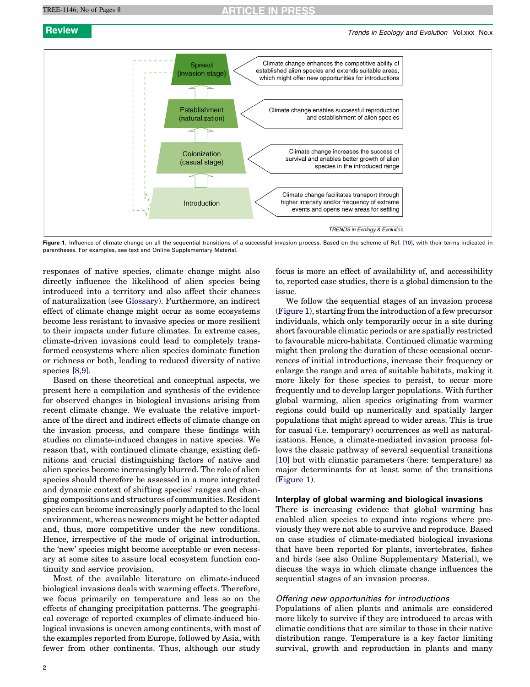

Figure 1. Influence of climate change on all the sequential transitions of a successful invasion process. Based on the scheme of Ref. [\[10\]](#page-5-0), with their terms indicated in parentheses. For examples, see text and Online Supplementary Material.

responses of native species, climate change might also directly influence the likelihood of alien species being introduced into a territory and also affect their chances of naturalization (see [Glossary](#page-0-0)). Furthermore, an indirect effect of climate change might occur as some ecosystems become less resistant to invasive species or more resilient to their impacts under future climates. In extreme cases, climate-driven invasions could lead to completely transformed ecosystems where alien species dominate function or richness or both, leading to reduced diversity of native species [\[8,9\].](#page-5-0)

Based on these theoretical and conceptual aspects, we present here a compilation and synthesis of the evidence for observed changes in biological invasions arising from recent climate change. We evaluate the relative importance of the direct and indirect effects of climate change on the invasion process, and compare these findings with studies on climate-induced changes in native species. We reason that, with continued climate change, existing definitions and crucial distinguishing factors of native and alien species become increasingly blurred. The role of alien species should therefore be assessed in a more integrated and dynamic context of shifting species' ranges and changing compositions and structures of communities. Resident species can become increasingly poorly adapted to the local environment, whereas newcomers might be better adapted and, thus, more competitive under the new conditions. Hence, irrespective of the mode of original introduction, the 'new' species might become acceptable or even necessary at some sites to assure local ecosystem function continuity and service provision.

Most of the available literature on climate-induced biological invasions deals with warming effects. Therefore, we focus primarily on temperature and less so on the effects of changing precipitation patterns. The geographical coverage of reported examples of climate-induced biological invasions is uneven among continents, with most of the examples reported from Europe, followed by Asia, with fewer from other continents. Thus, although our study focus is more an effect of availability of, and accessibility to, reported case studies, there is a global dimension to the issue.

We follow the sequential stages of an invasion process (Figure 1), starting from the introduction of a few precursor individuals, which only temporarily occur in a site during short favourable climatic periods or are spatially restricted to favourable micro-habitats. Continued climatic warming might then prolong the duration of these occasional occurrences of initial introductions, increase their frequency or enlarge the range and area of suitable habitats, making it more likely for these species to persist, to occur more frequently and to develop larger populations. With further global warming, alien species originating from warmer regions could build up numerically and spatially larger populations that might spread to wider areas. This is true for casual (i.e. temporary) occurrences as well as naturalizations. Hence, a climate-mediated invasion process follows the classic pathway of several sequential transitions [\[10\]](#page-5-0) but with climatic parameters (here: temperature) as major determinants for at least some of the transitions (Figure 1).

### Interplay of global warming and biological invasions

There is increasing evidence that global warming has enabled alien species to expand into regions where previously they were not able to survive and reproduce. Based on case studies of climate-mediated biological invasions that have been reported for plants, invertebrates, fishes and birds (see also Online Supplementary Material), we discuss the ways in which climate change influences the sequential stages of an invasion process.

### Offering new opportunities for introductions

Populations of alien plants and animals are considered more likely to survive if they are introduced to areas with climatic conditions that are similar to those in their native distribution range. Temperature is a key factor limiting survival, growth and reproduction in plants and many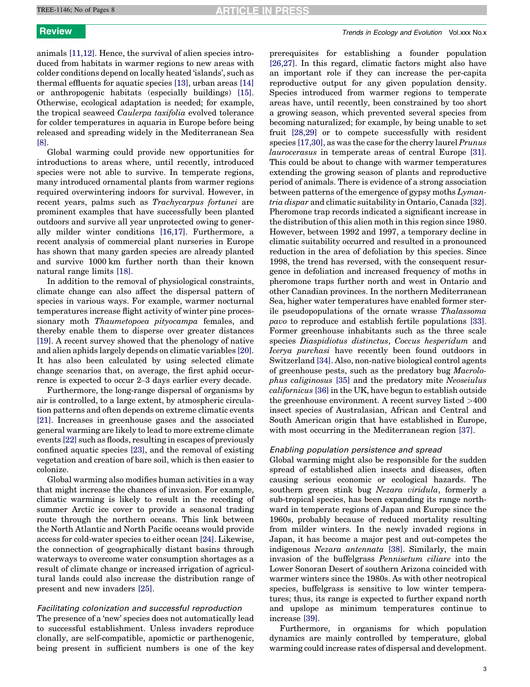animals [\[11,12\]](#page-5-0). Hence, the survival of alien species introduced from habitats in warmer regions to new areas with colder conditions depend on locally heated 'islands', such as thermal effluents for aquatic species [\[13\],](#page-5-0) urban areas [\[14\]](#page-5-0) or anthropogenic habitats (especially buildings) [\[15\]](#page-5-0). Otherwise, ecological adaptation is needed; for example, the tropical seaweed Caulerpa taxifolia evolved tolerance for colder temperatures in aquaria in Europe before being released and spreading widely in the Mediterranean Sea [\[8\].](#page-5-0)

Global warming could provide new opportunities for introductions to areas where, until recently, introduced species were not able to survive. In temperate regions, many introduced ornamental plants from warmer regions required overwintering indoors for survival. However, in recent years, palms such as Trachycarpus fortunei are prominent examples that have successfully been planted outdoors and survive all year unprotected owing to generally milder winter conditions [\[16,17\]](#page-5-0). Furthermore, a recent analysis of commercial plant nurseries in Europe has shown that many garden species are already planted and survive 1000 km further north than their known natural range limits [\[18\]](#page-5-0).

In addition to the removal of physiological constraints, climate change can also affect the dispersal pattern of species in various ways. For example, warmer nocturnal temperatures increase flight activity of winter pine processionary moth Thaumetopoea pityocampa females, and thereby enable them to disperse over greater distances [\[19\]](#page-5-0). A recent survey showed that the phenology of native and alien aphids largely depends on climatic variables [\[20\]](#page-5-0). It has also been calculated by using selected climate change scenarios that, on average, the first aphid occurrence is expected to occur 2–3 days earlier every decade.

Furthermore, the long-range dispersal of organisms by air is controlled, to a large extent, by atmospheric circulation patterns and often depends on extreme climatic events [\[21\]](#page-5-0). Increases in greenhouse gases and the associated general warming are likely to lead to more extreme climate events [\[22\]](#page-5-0) such as floods, resulting in escapes of previously confined aquatic species [\[23\]](#page-5-0), and the removal of existing vegetation and creation of bare soil, which is then easier to colonize.

Global warming also modifies human activities in a way that might increase the chances of invasion. For example, climatic warming is likely to result in the receding of summer Arctic ice cover to provide a seasonal trading route through the northern oceans. This link between the North Atlantic and North Pacific oceans would provide access for cold-water species to either ocean [\[24\].](#page-5-0) Likewise, the connection of geographically distant basins through waterways to overcome water consumption shortages as a result of climate change or increased irrigation of agricultural lands could also increase the distribution range of present and new invaders [\[25\]](#page-5-0).

### Facilitating colonization and successful reproduction

The presence of a 'new' species does not automatically lead to successful establishment. Unless invaders reproduce clonally, are self-compatible, apomictic or parthenogenic, being present in sufficient numbers is one of the key

prerequisites for establishing a founder population [\[26,27\]](#page-5-0). In this regard, climatic factors might also have an important role if they can increase the per-capita reproductive output for any given population density. Species introduced from warmer regions to temperate areas have, until recently, been constrained by too short a growing season, which prevented several species from becoming naturalized; for example, by being unable to set fruit [\[28,29\]](#page-5-0) or to compete successfully with resident species [\[17,30\]](#page-5-0), as was the case for the cherry laurel *Prunus* laurocerasus in temperate areas of central Europe [\[31\]](#page-5-0). This could be about to change with warmer temperatures extending the growing season of plants and reproductive period of animals. There is evidence of a strong association between patterns of the emergence of gypsy moths  $Lyman$ tria dispar and climatic suitability in Ontario, Canada [\[32\]](#page-5-0). Pheromone trap records indicated a significant increase in the distribution of this alien moth in this region since 1980. However, between 1992 and 1997, a temporary decline in climatic suitability occurred and resulted in a pronounced reduction in the area of defoliation by this species. Since 1998, the trend has reversed, with the consequent resurgence in defoliation and increased frequency of moths in pheromone traps further north and west in Ontario and other Canadian provinces. In the northern Mediterranean Sea, higher water temperatures have enabled former sterile pseudopopulations of the ornate wrasse Thalassoma pavo to reproduce and establish fertile populations [\[33\]](#page-5-0). Former greenhouse inhabitants such as the three scale species Diaspidiotus distinctus, Coccus hesperidum and Icerya purchasi have recently been found outdoors in Switzerland [\[34\].](#page-5-0) Also, non-native biological control agents of greenhouse pests, such as the predatory bug Macrolophus caliginosus [\[35\]](#page-5-0) and the predatory mite Neoseiulus californicus [\[36\]](#page-6-0) in the UK, have begun to establish outside the greenhouse environment. A recent survey listed >400 insect species of Australasian, African and Central and South American origin that have established in Europe, with most occurring in the Mediterranean region [\[37\].](#page-6-0)

### Enabling population persistence and spread

Global warming might also be responsible for the sudden spread of established alien insects and diseases, often causing serious economic or ecological hazards. The southern green stink bug Nezara viridula, formerly a sub-tropical species, has been expanding its range northward in temperate regions of Japan and Europe since the 1960s, probably because of reduced mortality resulting from milder winters. In the newly invaded regions in Japan, it has become a major pest and out-competes the indigenous Nezara antennata [\[38\].](#page-6-0) Similarly, the main invasion of the buffelgrass Pennisetum ciliare into the Lower Sonoran Desert of southern Arizona coincided with warmer winters since the 1980s. As with other neotropical species, buffelgrass is sensitive to low winter temperatures; thus, its range is expected to further expand north and upslope as minimum temperatures continue to increase [\[39\]](#page-6-0).

Furthermore, in organisms for which population dynamics are mainly controlled by temperature, global warming could increase rates of dispersal and development.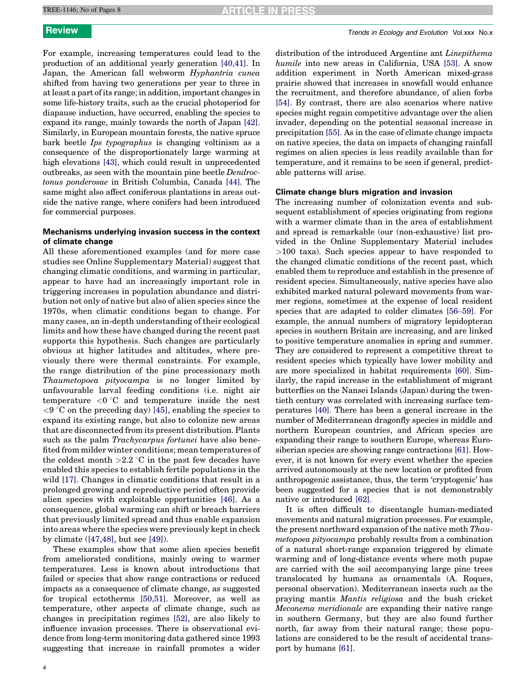For example, increasing temperatures could lead to the production of an additional yearly generation [\[40,41\].](#page-6-0) In Japan, the American fall webworm Hyphantria cunea shifted from having two generations per year to three in at least a part of its range; in addition, important changes in some life-history traits, such as the crucial photoperiod for diapause induction, have occurred, enabling the species to expand its range, mainly towards the north of Japan [\[42\]](#page-6-0). Similarly, in European mountain forests, the native spruce bark beetle Ips typographus is changing voltinism as a consequence of the disproportionately large warming at high elevations [\[43\]](#page-6-0), which could result in unprecedented outbreaks, as seen with the mountain pine beetle Dendroctonus ponderosae in British Columbia, Canada [\[44\]](#page-6-0). The same might also affect coniferous plantations in areas outside the native range, where conifers had been introduced for commercial purposes.

### Mechanisms underlying invasion success in the context of climate change

All these aforementioned examples (and for more case studies see Online Supplementary Material) suggest that changing climatic conditions, and warming in particular, appear to have had an increasingly important role in triggering increases in population abundance and distribution not only of native but also of alien species since the 1970s, when climatic conditions began to change. For many cases, an in-depth understanding of their ecological limits and how these have changed during the recent past supports this hypothesis. Such changes are particularly obvious at higher latitudes and altitudes, where previously there were thermal constraints. For example, the range distribution of the pine processionary moth Thaumetopoea pityocampa is no longer limited by unfavourable larval feeding conditions (i.e. night air temperature  $\langle 0^{\circ}$ C and temperature inside the nest  $\langle 9 \,^{\circ}$ C on the preceding day) [\[45\],](#page-6-0) enabling the species to expand its existing range, but also to colonize new areas that are disconnected from its present distribution. Plants such as the palm *Trachycarpus fortunei* have also benefited from milder winter conditions; mean temperatures of the coldest month  $>2.2$  °C in the past few decades have enabled this species to establish fertile populations in the wild [\[17\]](#page-5-0). Changes in climatic conditions that result in a prolonged growing and reproductive period often provide alien species with exploitable opportunities [\[46\].](#page-6-0) As a consequence, global warming can shift or breach barriers that previously limited spread and thus enable expansion into areas where the species were previously kept in check by climate ([\[47,48\],](#page-6-0) but see [\[49\]\)](#page-6-0).

These examples show that some alien species benefit from ameliorated conditions, mainly owing to warmer temperatures. Less is known about introductions that failed or species that show range contractions or reduced impacts as a consequence of climate change, as suggested for tropical ectotherms [\[50,51\].](#page-6-0) Moreover, as well as temperature, other aspects of climate change, such as changes in precipitation regimes [\[52\],](#page-6-0) are also likely to influence invasion processes. There is observational evidence from long-term monitoring data gathered since 1993 suggesting that increase in rainfall promotes a wider distribution of the introduced Argentine ant Linepithema humile into new areas in California, USA [\[53\].](#page-6-0) A snow addition experiment in North American mixed-grass prairie showed that increases in snowfall would enhance the recruitment, and therefore abundance, of alien forbs [\[54\]](#page-6-0). By contrast, there are also scenarios where native species might regain competitive advantage over the alien invader, depending on the potential seasonal increase in precipitation [\[55\].](#page-6-0) As in the case of climate change impacts on native species, the data on impacts of changing rainfall regimes on alien species is less readily available than for temperature, and it remains to be seen if general, predictable patterns will arise.

### Climate change blurs migration and invasion

The increasing number of colonization events and subsequent establishment of species originating from regions with a warmer climate than in the area of establishment and spread is remarkable (our (non-exhaustive) list provided in the Online Supplementary Material includes >100 taxa). Such species appear to have responded to the changed climatic conditions of the recent past, which enabled them to reproduce and establish in the presence of resident species. Simultaneously, native species have also exhibited marked natural poleward movements from warmer regions, sometimes at the expense of local resident species that are adapted to colder climates [56–[59\].](#page-6-0) For example, the annual numbers of migratory lepidopteran species in southern Britain are increasing, and are linked to positive temperature anomalies in spring and summer. They are considered to represent a competitive threat to resident species which typically have lower mobility and are more specialized in habitat requirements [\[60\].](#page-6-0) Similarly, the rapid increase in the establishment of migrant butterflies on the Nansei Islands (Japan) during the twentieth century was correlated with increasing surface temperatures [\[40\].](#page-6-0) There has been a general increase in the number of Mediterranean dragonfly species in middle and northern European countries, and African species are expanding their range to southern Europe, whereas Eurosiberian species are showing range contractions [\[61\]](#page-6-0). However, it is not known for every event whether the species arrived autonomously at the new location or profited from anthropogenic assistance, thus, the term 'cryptogenic' has been suggested for a species that is not demonstrably native or introduced [\[62\]](#page-6-0).

It is often difficult to disentangle human-mediated movements and natural migration processes. For example, the present northward expansion of the native moth Thaumetopoea pityocampa probably results from a combination of a natural short-range expansion triggered by climate warming and of long-distance events where moth pupae are carried with the soil accompanying large pine trees translocated by humans as ornamentals (A. Roques, personal observation). Mediterranean insects such as the praying mantis Mantis religiosa and the bush cricket Meconema meridionale are expanding their native range in southern Germany, but they are also found further north, far away from their natural range; these populations are considered to be the result of accidental transport by humans [\[61\].](#page-6-0)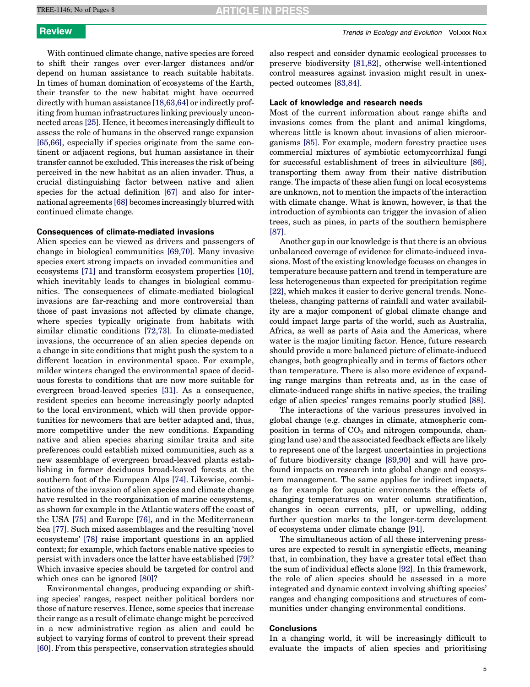With continued climate change, native species are forced to shift their ranges over ever-larger distances and/or depend on human assistance to reach suitable habitats. In times of human domination of ecosystems of the Earth, their transfer to the new habitat might have occurred directly with human assistance [\[18,63,64\]](#page-5-0) or indirectly profiting from human infrastructures linking previously unconnected areas [\[25\]](#page-5-0). Hence, it becomes increasingly difficult to assess the role of humans in the observed range expansion [\[65,66\],](#page-6-0) especially if species originate from the same continent or adjacent regions, but human assistance in their transfer cannot be excluded. This increases the risk of being perceived in the new habitat as an alien invader. Thus, a crucial distinguishing factor between native and alien species for the actual definition [\[67\]](#page-6-0) and also for international agreements [\[68\]](#page-6-0) becomes increasingly blurred with continued climate change.

### Consequences of climate-mediated invasions

Alien species can be viewed as drivers and passengers of change in biological communities [\[69,70\].](#page-6-0) Many invasive species exert strong impacts on invaded communities and ecosystems [\[71\]](#page-6-0) and transform ecosystem properties [\[10\]](#page-5-0), which inevitably leads to changes in biological communities. The consequences of climate-mediated biological invasions are far-reaching and more controversial than those of past invasions not affected by climate change, where species typically originate from habitats with similar climatic conditions [\[72,73\]](#page-6-0). In climate-mediated invasions, the occurrence of an alien species depends on a change in site conditions that might push the system to a different location in environmental space. For example, milder winters changed the environmental space of deciduous forests to conditions that are now more suitable for evergreen broad-leaved species [\[31\]](#page-5-0). As a consequence, resident species can become increasingly poorly adapted to the local environment, which will then provide opportunities for newcomers that are better adapted and, thus, more competitive under the new conditions. Expanding native and alien species sharing similar traits and site preferences could establish mixed communities, such as a new assemblage of evergreen broad-leaved plants establishing in former deciduous broad-leaved forests at the southern foot of the European Alps [\[74\]](#page-6-0). Likewise, combinations of the invasion of alien species and climate change have resulted in the reorganization of marine ecosystems, as shown for example in the Atlantic waters off the coast of the USA [\[75\]](#page-6-0) and Europe [\[76\],](#page-6-0) and in the Mediterranean Sea [\[77\]](#page-6-0). Such mixed assemblages and the resulting 'novel ecosystems' [\[78\]](#page-6-0) raise important questions in an applied context; for example, which factors enable native species to persist with invaders once the latter have established [\[79\]](#page-6-0)? Which invasive species should be targeted for control and which ones can be ignored [\[80\]?](#page-6-0)

Environmental changes, producing expanding or shifting species' ranges, respect neither political borders nor those of nature reserves. Hence, some species that increase their range as a result of climate change might be perceived in a new administrative region as alien and could be subject to varying forms of control to prevent their spread [\[60\]](#page-6-0). From this perspective, conservation strategies should

also respect and consider dynamic ecological processes to preserve biodiversity [\[81,82\]](#page-6-0), otherwise well-intentioned control measures against invasion might result in unexpected outcomes [\[83,84\].](#page-6-0)

### Lack of knowledge and research needs

Most of the current information about range shifts and invasions comes from the plant and animal kingdoms, whereas little is known about invasions of alien microorganisms [\[85\]](#page-6-0). For example, modern forestry practice uses commercial mixtures of symbiotic ectomycorrhizal fungi for successful establishment of trees in silviculture [\[86\]](#page-6-0), transporting them away from their native distribution range. The impacts of these alien fungi on local ecosystems are unknown, not to mention the impacts of the interaction with climate change. What is known, however, is that the introduction of symbionts can trigger the invasion of alien trees, such as pines, in parts of the southern hemisphere [\[87\]](#page-6-0).

Another gap in our knowledge is that there is an obvious unbalanced coverage of evidence for climate-induced invasions. Most of the existing knowledge focuses on changes in temperature because pattern and trend in temperature are less heterogeneous than expected for precipitation regime [\[22\]](#page-5-0), which makes it easier to derive general trends. Nonetheless, changing patterns of rainfall and water availability are a major component of global climate change and could impact large parts of the world, such as Australia, Africa, as well as parts of Asia and the Americas, where water is the major limiting factor. Hence, future research should provide a more balanced picture of climate-induced changes, both geographically and in terms of factors other than temperature. There is also more evidence of expanding range margins than retreats and, as in the case of climate-induced range shifts in native species, the trailing edge of alien species' ranges remains poorly studied [\[88\].](#page-6-0)

The interactions of the various pressures involved in global change (e.g. changes in climate, atmospheric composition in terms of  $CO<sub>2</sub>$  and nitrogen compounds, changing land use) and the associated feedback effects are likely to represent one of the largest uncertainties in projections of future biodiversity change [\[89,90\]](#page-6-0) and will have profound impacts on research into global change and ecosystem management. The same applies for indirect impacts, as for example for aquatic environments the effects of changing temperatures on water column stratification, changes in ocean currents, pH, or upwelling, adding further question marks to the longer-term development of ecosystems under climate change [\[91\]](#page-7-0).

The simultaneous action of all these intervening pressures are expected to result in synergistic effects, meaning that, in combination, they have a greater total effect than the sum of individual effects alone [\[92\]](#page-7-0). In this framework, the role of alien species should be assessed in a more integrated and dynamic context involving shifting species' ranges and changing compositions and structures of communities under changing environmental conditions.

### **Conclusions**

In a changing world, it will be increasingly difficult to evaluate the impacts of alien species and prioritising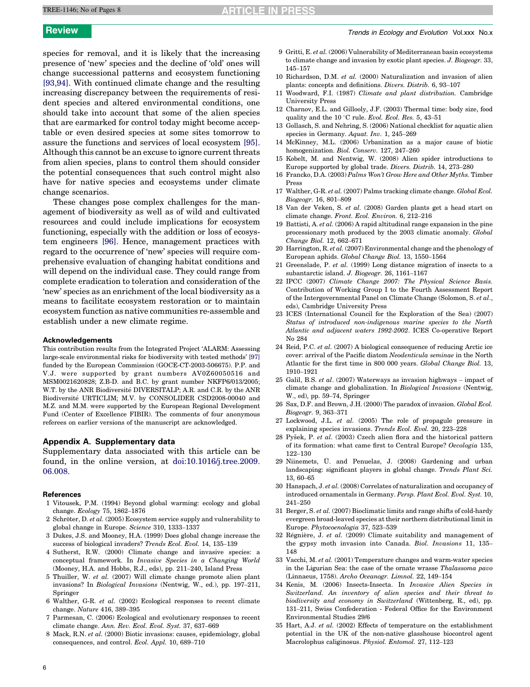<span id="page-5-0"></span>species for removal, and it is likely that the increasing presence of 'new' species and the decline of 'old' ones will change successional patterns and ecosystem functioning [\[93,94\]](#page-7-0). With continued climate change and the resulting increasing discrepancy between the requirements of resident species and altered environmental conditions, one should take into account that some of the alien species that are earmarked for control today might become acceptable or even desired species at some sites tomorrow to assure the functions and services of local ecosystem [\[95\]](#page-7-0). Although this cannot be an excuse to ignore current threats from alien species, plans to control them should consider the potential consequences that such control might also have for native species and ecosystems under climate change scenarios.

These changes pose complex challenges for the management of biodiversity as well as of wild and cultivated resources and could include implications for ecosystem functioning, especially with the addition or loss of ecosystem engineers [\[96\]](#page-7-0). Hence, management practices with regard to the occurrence of 'new' species will require comprehensive evaluation of changing habitat conditions and will depend on the individual case. They could range from complete eradication to toleration and consideration of the 'new' species as an enrichment of the local biodiversity as a means to facilitate ecosystem restoration or to maintain ecosystem function as native communities re-assemble and establish under a new climate regime.

### Acknowledgements

This contribution results from the Integrated Project 'ALARM: Assessing large-scale environmental risks for biodiversity with tested methods' [\[97\]](#page-7-0) funded by the European Commission (GOCE-CT-2003-506675). P.P. and V.J. were supported by grant numbers AV0Z60050516 and MSM0021620828; Z.B-D. and B.C. by grant number NKFP6/013/2005; W.T. by the ANR Biodiversité DIVERSITALP; A.R. and C.R. by the ANR Biodiversité URTICLIM; M.V. by CONSOLIDER CSD2008-00040 and M.Z. and M.M. were supported by the European Regional Development Fund (Center of Excellence FIBIR). The comments of four anonymous referees on earlier versions of the manuscript are acknowledged.

### Appendix A. Supplementary data

Supplementary data associated with this article can be found, in the online version, at [doi:10.1016/j.tree.2009.](http://dx.doi.org/10.1016/j.tree.2009.06.008) [06.008](http://dx.doi.org/10.1016/j.tree.2009.06.008).

### References

- 1 Vitousek, P.M. (1994) Beyond global warming: ecology and global change. Ecology 75, 1862–1876
- 2 Schröter, D. et al. (2005) Ecosystem service supply and vulnerability to global change in Europe. Science 310, 1333–1337
- 3 Dukes, J.S. and Mooney, H.A. (1999) Does global change increase the success of biological invaders? Trends Ecol. Evol. 14, 135–139
- 4 Sutherst, R.W. (2000) Climate change and invasive species: a conceptual framework. In Invasive Species in a Changing World (Mooney, H.A. and Hobbs, R.J., eds), pp. 211–240, Island Press
- 5 Thuiller, W. et al. (2007) Will climate change promote alien plant invasions? In Biological Invasions (Nentwig, W., ed.), pp. 197–211, Springer
- 6 Walther, G-R. et al. (2002) Ecological responses to recent climate change. Nature 416, 389–395
- 7 Parmesan, C. (2006) Ecological and evolutionary responses to recent climate change. Ann. Rev. Ecol. Evol. Syst. 37, 637–669
- 8 Mack, R.N. et al. (2000) Biotic invasions: causes, epidemiology, global consequences, and control. Ecol. Appl. 10, 689–710
- 9 Gritti, E. et al. (2006) Vulnerability of Mediterranean basin ecosystems to climate change and invasion by exotic plant species. J. Biogeogr. 33, 145–157
- 10 Richardson, D.M. et al. (2000) Naturalization and invasion of alien plants: concepts and definitions. Divers. Distrib. 6, 93–107
- 11 Woodward, F.I. (1987) Climate and plant distribution. Cambridge University Press
- 12 Charnov, E.L. and Gillooly, J.F. (2003) Thermal time: body size, food quality and the  $10^{\circ}$ C rule. Evol. Ecol. Res. 5, 43-51
- 13 Gollasch, S. and Nehring, S. (2006) National checklist for aquatic alien species in Germany. Aquat. Inv. 1, 245–269
- 14 McKinney, M.L. (2006) Urbanization as a major cause of biotic homogenization. Biol. Conserv. 127, 247–260
- 15 Kobelt, M. and Nentwig, W. (2008) Alien spider introductions to Europe supported by global trade. Divers. Distrib. 14, 273–280
- 16 Francko, D.A. (2003) Palms Won't Grow Here and Other Myths. Timber Press
- 17 Walther, G-R. et al. (2007) Palms tracking climate change. Global Ecol. Biogeogr. 16, 801–809
- 18 Van der Veken, S. et al. (2008) Garden plants get a head start on climate change. Front. Ecol. Environ. 6, 212–216
- 19 Battisti, A. et al. (2006) A rapid altitudinal range expansion in the pine processionary moth produced by the 2003 climatic anomaly. Global Change Biol. 12, 662–671
- 20 Harrington, R. et al. (2007) Environmental change and the phenology of European aphids. Global Change Biol. 13, 1550–1564
- 21 Greenslade, P. et al. (1999) Long distance migration of insects to a subantarctic island. J. Biogeogr. 26, 1161–1167
- 22 IPCC (2007) Climate Change 2007: The Physical Science Basis. Contribution of Working Group I to the Fourth Assessment Report of the Intergovernmental Panel on Climate Change (Solomon, S. et al., eds), Cambridge University Press
- 23 ICES (International Council for the Exploration of the Sea) (2007) Status of introduced non-indigenous marine species to the North Atlantic and adjacent waters 1992-2002. ICES Co-operative Report No 284
- 24 Reid, P.C. et al. (2007) A biological consequence of reducing Arctic ice cover: arrival of the Pacific diatom Neodenticula seminae in the North Atlantic for the first time in 800 000 years. Global Change Biol. 13, 1910–1921
- 25 Galil, B.S. et al. (2007) Waterways as invasion highways impact of climate change and globalization. In Biological Invasions (Nentwig, W., ed), pp. 59–74, Springer
- 26 Sax, D.F. and Brown, J.H. (2000) The paradox of invasion. Global Ecol. Biogeogr. 9, 363–371
- 27 Lockwood, J.L. et al. (2005) The role of propagule pressure in explaining species invasions. Trends Ecol. Evol. 20, 223–228
- 28 Pyšek, P. et al. (2003) Czech alien flora and the historical pattern of its formation: what came first to Central Europe? Oecologia 135, 122–130
- 29 Niinemets, U. and Penuelas, J. (2008) Gardening and urban landscaping: significant players in global change. Trends Plant Sci. 13, 60–65
- 30 Hanspach, J. et al. (2008) Correlates of naturalization and occupancy of introduced ornamentals in Germany. Persp. Plant Ecol. Evol. Syst. 10, 241–250
- 31 Berger, S. et al. (2007) Bioclimatic limits and range shifts of cold-hardy evergreen broad-leaved species at their northern distributional limit in Europe. Phytocoenologia 37, 523–539
- 32 Régnière, J. et al. (2009) Climate suitability and management of the gypsy moth invasion into Canada. Biol. Invasions 11, 135– 148
- 33 Vacchi, M. et al. (2001) Temperature changes and warm-water species in the Ligurian Sea: the case of the ornate wrasse Thalassoma pavo (Linnaeus, 1758). Archo Oceanogr. Limnol. 22, 149–154
- 34 Kenis, M. (2006) Insects-Insecta. In Invasive Alien Species in Switzerland. An inventory of alien species and their threat to biodiversity and economy in Switzerland (Wittenberg, R., ed), pp. 131–211, Swiss Confederation - Federal Office for the Environment Environmental Studies 29/6
- 35 Hart, A.J. et al. (2002) Effects of temperature on the establishment potential in the UK of the non-native glasshouse biocontrol agent Macrolophus caliginosus. Physiol. Entomol. 27, 112–123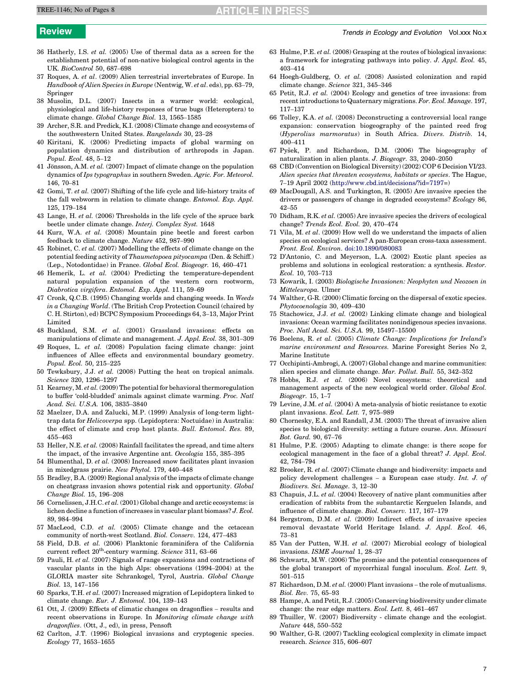- <span id="page-6-0"></span>36 Hatherly, I.S. et al. (2005) Use of thermal data as a screen for the establishment potential of non-native biological control agents in the UK. BioControl 50, 687–698
- 37 Roques, A. et al. (2009) Alien terrestrial invertebrates of Europe. In Handbook of Alien Species in Europe (Nentwig, W. et al. eds), pp. 63–79, Springer
- 38 Musolin, D.L. (2007) Insects in a warmer world: ecological, physiological and life-history responses of true bugs (Heteroptera) to climate change. Global Change Biol. 13, 1565–1585
- 39 Archer, S.R. and Predick, K.I. (2008) Climate change and ecosystems of the southwestern United States. Rangelands 30, 23–28
- 40 Kiritani, K. (2006) Predicting impacts of global warming on population dynamics and distribution of arthropods in Japan. Popul. Ecol. 48, 5–12
- 41 Jönsson, A.M. et al.  $(2007)$  Impact of climate change on the population dynamics of Ips typographus in southern Sweden. Agric. For. Meteorol. 146, 70–81
- 42 Gomi, T. et al. (2007) Shifting of the life cycle and life-history traits of the fall webworm in relation to climate change. Entomol. Exp. Appl. 125, 179–184
- 43 Lange, H. et al. (2006) Thresholds in the life cycle of the spruce bark beetle under climate change. Interj. Complex Syst. 1648
- 44 Kurz, W.A. et al. (2008) Mountain pine beetle and forest carbon feedback to climate change. Nature 452, 987–990
- 45 Robinet, C. et al. (2007) Modelling the effects of climate change on the potential feeding activity of Thaumetopoea pityocampa (Den. & Schiff.) (Lep., Notodontidae) in France. Global Ecol. Biogeogr. 16, 460–471
- 46 Hemerik, L. et al. (2004) Predicting the temperature-dependent natural population expansion of the western corn rootworm, Diabrotica virgifera. Entomol. Exp. Appl. 111, 59–69
- 47 Cronk, Q.C.B. (1995) Changing worlds and changing weeds. In Weeds in a Changing World. (The British Crop Protection Council (chaired by C. H. Stirton), ed) BCPC Symposium Proceedings 64, 3–13, Major Print Limited
- 48 Buckland, S.M. et al. (2001) Grassland invasions: effects on manipulations of climate and management. J. Appl. Ecol. 38, 301–309
- 49 Roques, L. et al. (2008) Population facing climate change: joint influences of Allee effects and environmental boundary geometry. Popul. Ecol. 50, 215–225
- 50 Tewksbury, J.J. et al. (2008) Putting the heat on tropical animals. Science 320, 1296–1297
- 51 Kearney, M. et al. (2009) The potential for behavioral thermoregulation to buffer 'cold-bludded' animals against climate warming. Proc. Natl Acad. Sci. U.S.A. 106, 3835–3840
- 52 Maelzer, D.A. and Zalucki, M.P. (1999) Analysis of long-term lighttrap data for Helicoverpa spp. (Lepidoptera: Noctuidae) in Australia: the effect of climate and crop host plants. Bull. Entomol. Res. 89, 455–463
- 53 Heller, N.E. et al. (2008) Rainfall facilitates the spread, and time alters the impact, of the invasive Argentine ant. Oecologia 155, 385–395
- 54 Blumenthal, D. et al. (2008) Increased snow facilitates plant invasion in mixedgrass prairie. New Phytol. 179, 440–448
- 55 Bradley, B.A. (2009) Regional analysis of the impacts of climate change on cheatgrass invasion shows potential risk and opportunity. Global Change Biol. 15, 196–208
- 56 Cornelissen, J.H.C. et al. (2001) Global change and arctic ecosystems: is lichen decline a function of increases in vascular plant biomass? J. Ecol. 89, 984–994
- 57 MacLeod, C.D. et al. (2005) Climate change and the cetacean community of north-west Scotland. Biol. Conserv. 124, 477–483
- 58 Field, D.B. et al. (2006) Planktonic foraminifera of the California current reflect 20<sup>th</sup>-century warming. Science 311, 63-66
- 59 Pauli, H. et al. (2007) Signals of range expansions and contractions of vascular plants in the high Alps: observations (1994–2004) at the GLORIA master site Schrankogel, Tyrol, Austria. Global Change Biol. 13, 147–156
- 60 Sparks, T.H. et al. (2007) Increased migration of Lepidoptera linked to climate change. Eur. J. Entomol. 104, 139–143
- 61 Ott, J. (2009) Effects of climatic changes on dragonflies results and recent observations in Europe. In Monitoring climate change with dragonflies. (Ott, J., ed), in press, Pensoft
- 62 Carlton, J.T. (1996) Biological invasions and cryptogenic species. Ecology 77, 1653–1655
- 63 Hulme, P.E. et al. (2008) Grasping at the routes of biological invasions: a framework for integrating pathways into policy. J. Appl. Ecol. 45, 403–414
- 64 Hoegh-Guldberg, O. et al. (2008) Assisted colonization and rapid climate change. Science 321, 345–346
- 65 Petit, R.J. et al. (2004) Ecology and genetics of tree invasions: from recent introductions to Quaternary migrations. For. Ecol. Manage. 197, 117–137
- 66 Tolley, K.A. et al. (2008) Deconstructing a controversial local range expansion: conservation biogeography of the painted reed frog (Hyperolius marmoratus) in South Africa. Divers. Distrib. 14, 400–411
- 67 Pyšek, P. and Richardson, D.M. (2006) The biogeography of naturalization in alien plants. J. Biogeogr. 33, 2040–2050
- 68 CBD (Convention on Biological Diversity) (2002) COP 6 Decision VI/23. Alien species that threaten ecosystems, habitats or species. The Hague, 7–19 April 2002 (<http://www.cbd.int/decisions/?id=7197>=)
- 69 MacDougall, A.S. and Turkington, R. (2005) Are invasive species the drivers or passengers of change in degraded ecosystems? Ecology 86, 42–55
- 70 Didham, R.K. et al. (2005) Are invasive species the drivers of ecological change? Trends Ecol. Evol. 20, 470–474
- 71 Vila, M. et al. (2009) How well do we understand the impacts of alien species on ecological services? A pan-European cross-taxa assessment. Front. Ecol. Environ. [doi:10.1890/080083](http://dx.doi.org/10.1890/080083)
- 72 D'Antonio, C. and Meyerson, L.A. (2002) Exotic plant species as problems and solutions in ecological restoration: a synthesis. Restor. Ecol. 10, 703–713
- 73 Kowarik, I. (2003) Biologische Invasionen: Neophyten und Neozoen in Mitteleuropa. Ulmer
- 74 Walther, G-R. (2000) Climatic forcing on the dispersal of exotic species. Phytocoenologia 30, 409–430
- 75 Stachowicz, J.J. et al. (2002) Linking climate change and biological invasions: Ocean warming facilitates nonindigenous species invasions. Proc. Natl Acad. Sci. U.S.A. 99, 15497–15500
- 76 Boelens, R. et al. (2005) Climate Change: Implications for Ireland's marine environment and Resources. Marine Foresight Series No 2, Marine Institute
- 77 Occhipinti-Ambrogi, A. (2007) Global change and marine communities: alien species and climate change. Mar. Pollut. Bull. 55, 342–352
- 78 Hobbs, R.J. et al. (2006) Novel ecosystems: theoretical and management aspects of the new ecological world order. Global Ecol. Biogeogr. 15, 1–7
- 79 Levine, J.M. et al. (2004) A meta-analysis of biotic resistance to exotic plant invasions. Ecol. Lett. 7, 975–989
- 80 Chornesky, E.A. and Randall, J.M. (2003) The threat of invasive alien species to biological diversity: setting a future course. Ann. Missouri Bot. Gard. 90, 67–76
- 81 Hulme, P.E. (2005) Adapting to climate change: is there scope for ecological management in the face of a global threat? J. Appl. Ecol. 42, 784–794
- 82 Brooker, R. et al. (2007) Climate change and biodiversity: impacts and policy development challenges – a European case study. Int. J. of Biodivers. Sci. Manage. 3, 12–30
- 83 Chapuis, J.L. et al. (2004) Recovery of native plant communities after eradication of rabbits from the subantarctic Kerguelen Islands, and influence of climate change. Biol. Conserv. 117, 167–179
- 84 Bergstrom, D.M. et al. (2009) Indirect effects of invasive species removal devastate World Heritage Island. J. Appl. Ecol. 46, 73–81
- 85 Van der Putten, W.H. et al. (2007) Microbial ecology of biological invasions. ISME Journal 1, 28–37
- 86 Schwartz, M.W. (2006) The promise and the potential consequences of the global transport of mycorrhizal fungal inoculum. Ecol. Lett. 9, 501–515
- 87 Richardson, D.M. et al. (2000) Plant invasions the role of mutualisms. Biol. Rev. 75, 65–93
- 88 Hampe, A. and Petit, R.J. (2005) Conserving biodiversity under climate change: the rear edge matters. Ecol. Lett. 8, 461–467
- 89 Thuiller, W. (2007) Biodiversity climate change and the ecologist. Nature 448, 550–552
- 90 Walther, G-R. (2007) Tackling ecological complexity in climate impact research. Science 315, 606–607